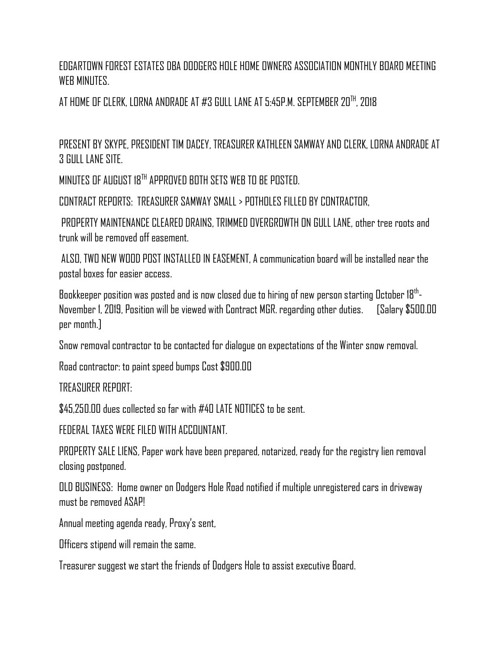EDGARTOWN FOREST ESTATES DBA DODGERS HOLE HOME OWNERS ASSOCIATION MONTHLY BOARD MEETING WFR MINIITFS

AT HOME OF CLERK, LORNA ANDRADE AT #3 GULL LANE AT 5:45P.M. SEPTEMBER 20 $^{\text{th}}$ , 2018

PRESENT BY SKYPE, PRESIDENT TIM DACEY, TREASURER KATHLEEN SAMWAY AND CLERK, LORNA ANDRADE AT 3 GULL LANE SITE.

MINUTES OF AUGUST 18TH APPROVED BOTH SETS WEB TO BE POSTED.

CONTRACT REPORTS: TREASURER SAMWAY SMALL > POTHOLES FILLED BY CONTRACTOR,

PROPERTY MAINTENANCE CLEARED DRAINS, TRIMMED OVERGROWTH ON GULL LANE, other tree roots and trunk will be removed off easement.

ALSO, TWO NEW WOOD POST INSTALLED IN EASEMENT, A communication board will be installed near the postal boxes for easier access.

Bookkeeper position was posted and is now closed due to hiring of new person starting October 18<sup>th</sup>-November 1, 2019, Position will be viewed with Contract MGR. regarding other duties. [Salary \$500.00 per month.]

Snow removal contractor to be contacted for dialogue on expectations of the Winter snow removal.

Road contractor: to paint speed bumps Cost \$900.00

TREASURER REPORT:

\$45,250.00 dues collected so far with #40 LATE NOTICES to be sent.

FEDERAL TAXES WERE FILED WITH ACCOUNTANT.

PROPERTY SALE LIENS, Paper work have been prepared, notarized, ready for the registry lien removal closing postponed.

OLD BUSINESS: Home owner on Dodgers Hole Road notified if multiple unregistered cars in driveway must be removed ASAP!

Annual meeting agenda ready, Proxy's sent,

Officers stipend will remain the same.

Treasurer suggest we start the friends of Dodgers Hole to assist executive Board.